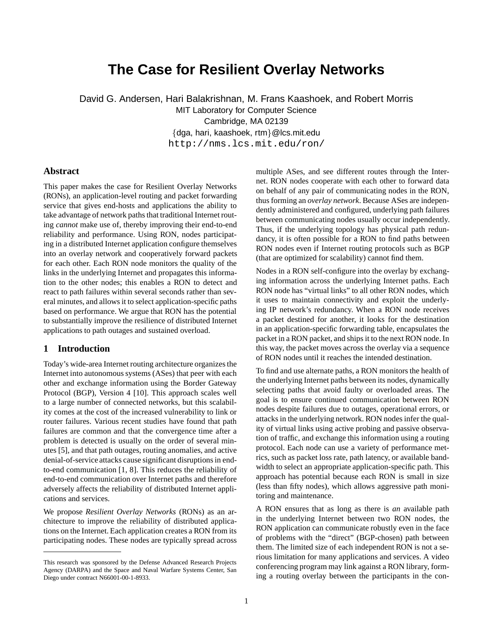# **The Case for Resilient Overlay Networks**

David G. Andersen, Hari Balakrishnan, M. Frans Kaashoek, and Robert Morris

MIT Laboratory for Computer Science Cambridge, MA 02139 {dga, hari, kaashoek, rtm}@lcs.mit.edu http://nms.lcs.mit.edu/ron/

#### **Abstract**

This paper makes the case for Resilient Overlay Networks (RONs), an application-level routing and packet forwarding service that gives end-hosts and applications the ability to take advantage of network paths that traditional Internet routing *cannot* make use of, thereby improving their end-to-end reliability and performance. Using RON, nodes participating in a distributed Internet application configure themselves into an overlay network and cooperatively forward packets for each other. Each RON node monitors the quality of the links in the underlying Internet and propagates this information to the other nodes; this enables a RON to detect and react to path failures within several seconds rather than several minutes, and allows it to select application-specific paths based on performance. We argue that RON has the potential to substantially improve the resilience of distributed Internet applications to path outages and sustained overload.

## **1 Introduction**

Today's wide-area Internet routing architecture organizes the Internet into autonomous systems (ASes) that peer with each other and exchange information using the Border Gateway Protocol (BGP), Version 4 [10]. This approach scales well to a large number of connected networks, but this scalability comes at the cost of the increased vulnerability to link or router failures. Various recent studies have found that path failures are common and that the convergence time after a problem is detected is usually on the order of several minutes [5], and that path outages, routing anomalies, and active denial-of-service attacks cause significant disruptions in endto-end communication [1, 8]. This reduces the reliability of end-to-end communication over Internet paths and therefore adversely affects the reliability of distributed Internet applications and services.

We propose *Resilient Overlay Networks* (RONs) as an architecture to improve the reliability of distributed applications on the Internet. Each application creates a RON from its participating nodes. These nodes are typically spread across multiple ASes, and see different routes through the Internet. RON nodes cooperate with each other to forward data on behalf of any pair of communicating nodes in the RON, thus forming an *overlay network*. Because ASes are independently administered and configured, underlying path failures between communicating nodes usually occur independently. Thus, if the underlying topology has physical path redundancy, it is often possible for a RON to find paths between RON nodes even if Internet routing protocols such as BGP (that are optimized for scalability) cannot find them.

Nodes in a RON self-configure into the overlay by exchanging information across the underlying Internet paths. Each RON node has "virtual links" to all other RON nodes, which it uses to maintain connectivity and exploit the underlying IP network's redundancy. When a RON node receives a packet destined for another, it looks for the destination in an application-specific forwarding table, encapsulates the packet in a RON packet, and ships it to the next RON node. In this way, the packet moves across the overlay via a sequence of RON nodes until it reaches the intended destination.

To find and use alternate paths, a RON monitors the health of the underlying Internet paths between its nodes, dynamically selecting paths that avoid faulty or overloaded areas. The goal is to ensure continued communication between RON nodes despite failures due to outages, operational errors, or attacks in the underlying network. RON nodes infer the quality of virtual links using active probing and passive observation of traffic, and exchange this information using a routing protocol. Each node can use a variety of performance metrics, such as packet loss rate, path latency, or available bandwidth to select an appropriate application-specific path. This approach has potential because each RON is small in size (less than fifty nodes), which allows aggressive path monitoring and maintenance.

A RON ensures that as long as there is *an* available path in the underlying Internet between two RON nodes, the RON application can communicate robustly even in the face of problems with the "direct" (BGP-chosen) path between them. The limited size of each independent RON is not a serious limitation for many applications and services. A video conferencing program may link against a RON library, forming a routing overlay between the participants in the con-

This research was sponsored by the Defense Advanced Research Projects Agency (DARPA) and the Space and Naval Warfare Systems Center, San Diego under contract N66001-00-1-8933.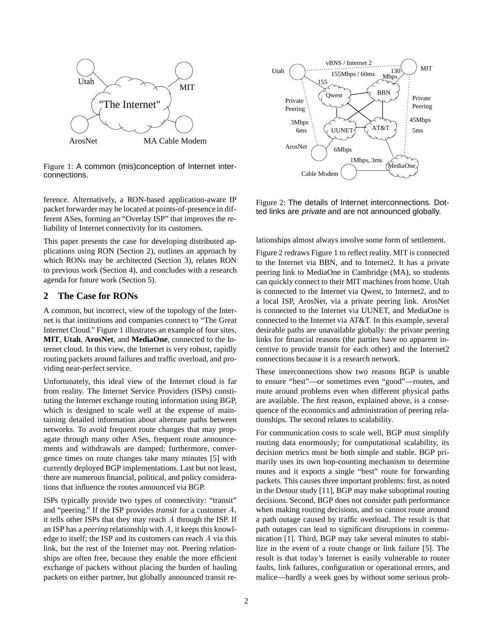

Figure 1: A common (mis)conception of Internet interconnections.

ference. Alternatively, a RON-based application-aware IP packet forwarder may be located at points-of-presence in different ASes, forming an "Overlay ISP" that improves the reliability of Internet connectivity for its customers.

This paper presents the case for developing distributed applications using RON (Section 2), outlines an approach by which RONs may be architected (Section 3), relates RON to previous work (Section 4), and concludes with a research agenda for future work (Section 5).

# **2 The Case for RONs**

A common, but incorrect, view of the topology of the Internet is that institutions and companies connect to "The Great Internet Cloud." Figure 1 illustrates an example of four sites, **MIT**, **Utah**, **ArosNet**, and **MediaOne**, connected to the Internet cloud. In this view, the Internet is very robust, rapidly routing packets around failures and traffic overload, and providing near-perfect service.

Unfortunately, this ideal view of the Internet cloud is far from reality. The Internet Service Providers (ISPs) constituting the Internet exchange routing information using BGP, which is designed to scale well at the expense of maintaining detailed information about alternate paths between networks. To avoid frequent route changes that may propagate through many other ASes, frequent route announcements and withdrawals are damped; furthermore, convergence times on route changes take many minutes [5] with currently deployed BGP implementations. Last but not least, there are numerous financial, political, and policy considerations that influence the routes announced via BGP.

ISPs typically provide two types of connectivity: "transit" and "peering." If the ISP provides *transit* for a customer A, it tells other ISPs that they may reach A through the ISP. If an ISP has a *peering* relationship with A, it keeps this knowledge to itself; the ISP and its customers can reach A via this link, but the rest of the Internet may not. Peering relationships are often free, because they enable the more efficient exchange of packets without placing the burden of hauling packets on either partner, but globally announced transit re-



Figure 2: The details of Internet interconnections. Dotted links are *private* and are not announced globally.

lationships almost always involve some form of settlement.

Figure 2 redraws Figure 1 to reflect reality. MIT is connected to the Internet via BBN, and to Internet2. It has a private peering link to MediaOne in Cambridge (MA), so students can quickly connect to their MIT machines from home. Utah is connected to the Internet via Qwest, to Internet2, and to a local ISP, ArosNet, via a private peering link. ArosNet is connected to the Internet via UUNET, and MediaOne is connected to the Internet via AT&T. In this example, several desirable paths are unavailable globally: the private peering links for financial reasons (the parties have no apparent incentive to provide transit for each other) and the Internet2 connections because it is a research network.

These interconnections show two reasons BGP is unable to ensure "best"—or sometimes even "good"—routes, and route around problems even when different physical paths are available. The first reason, explained above, is a consequence of the economics and administration of peering relationships. The second relates to scalability.

For communication costs to scale well, BGP must simplify routing data enormously; for computational scalability, its decision metrics must be both simple and stable. BGP primarily uses its own hop-counting mechanism to determine routes and it exports a single "best" route for forwarding packets. This causes three important problems: first, as noted in the Detour study [11], BGP may make suboptimal routing decisions. Second, BGP does not consider path performance when making routing decisions, and so cannot route around a path outage caused by traffic overload. The result is that path outages can lead to significant disruptions in communication [1]. Third, BGP may take several minutes to stabilize in the event of a route change or link failure [5]. The result is that today's Internet is easily vulnerable to router faults, link failures, configuration or operational errors, and malice—hardly a week goes by without some serious prob-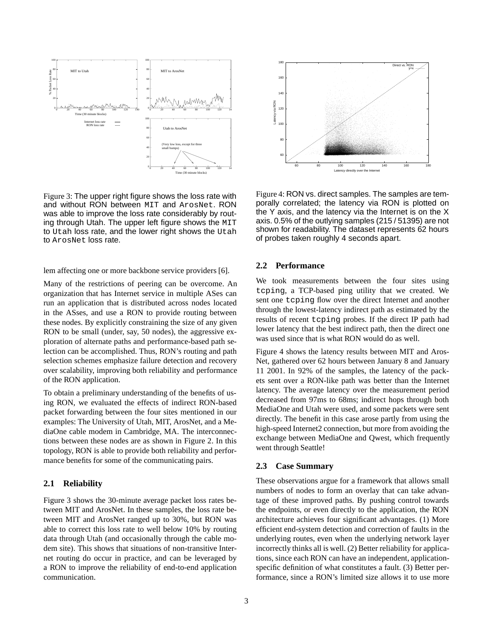

Figure 3: The upper right figure shows the loss rate with and without RON between MIT and ArosNet. RON was able to improve the loss rate considerably by routing through Utah. The upper left figure shows the MIT to Utah loss rate, and the lower right shows the Utah to ArosNet loss rate.

lem affecting one or more backbone service providers [6].

Many of the restrictions of peering can be overcome. An organization that has Internet service in multiple ASes can run an application that is distributed across nodes located in the ASses, and use a RON to provide routing between these nodes. By explicitly constraining the size of any given RON to be small (under, say, 50 nodes), the aggressive exploration of alternate paths and performance-based path selection can be accomplished. Thus, RON's routing and path selection schemes emphasize failure detection and recovery over scalability, improving both reliability and performance of the RON application.

To obtain a preliminary understanding of the benefits of using RON, we evaluated the effects of indirect RON-based packet forwarding between the four sites mentioned in our examples: The University of Utah, MIT, ArosNet, and a MediaOne cable modem in Cambridge, MA. The interconnections between these nodes are as shown in Figure 2. In this topology, RON is able to provide both reliability and performance benefits for some of the communicating pairs.

#### **2.1 Reliability**

Figure 3 shows the 30-minute average packet loss rates between MIT and ArosNet. In these samples, the loss rate between MIT and ArosNet ranged up to 30%, but RON was able to correct this loss rate to well below 10% by routing data through Utah (and occasionally through the cable modem site). This shows that situations of non-transitive Internet routing do occur in practice, and can be leveraged by a RON to improve the reliability of end-to-end application communication.



Figure 4: RON vs. direct samples. The samples are temporally correlated; the latency via RON is plotted on the Y axis, and the latency via the Internet is on the X axis. 0.5% of the outlying samples (215 / 51395) are not shown for readability. The dataset represents 62 hours of probes taken roughly 4 seconds apart.

#### **2.2 Performance**

We took measurements between the four sites using tcping, a TCP-based ping utility that we created. We sent one tcping flow over the direct Internet and another through the lowest-latency indirect path as estimated by the results of recent tcping probes. If the direct IP path had lower latency that the best indirect path, then the direct one was used since that is what RON would do as well.

Figure 4 shows the latency results between MIT and Aros-Net, gathered over 62 hours between January 8 and January 11 2001. In 92% of the samples, the latency of the packets sent over a RON-like path was better than the Internet latency. The average latency over the measurement period decreased from 97ms to 68ms; indirect hops through both MediaOne and Utah were used, and some packets were sent directly. The benefit in this case arose partly from using the high-speed Internet2 connection, but more from avoiding the exchange between MediaOne and Qwest, which frequently went through Seattle!

#### **2.3 Case Summary**

These observations argue for a framework that allows small numbers of nodes to form an overlay that can take advantage of these improved paths. By pushing control towards the endpoints, or even directly to the application, the RON architecture achieves four significant advantages. (1) More efficient end-system detection and correction of faults in the underlying routes, even when the underlying network layer incorrectly thinks all is well. (2) Better reliability for applications, since each RON can have an independent, applicationspecific definition of what constitutes a fault. (3) Better performance, since a RON's limited size allows it to use more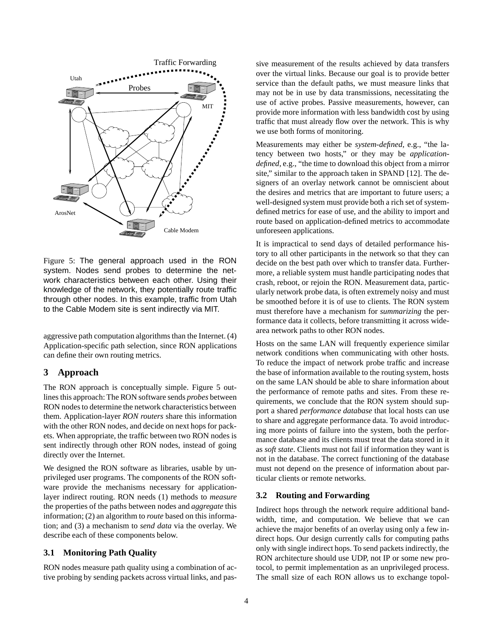

Figure 5: The general approach used in the RON system. Nodes send probes to determine the network characteristics between each other. Using their knowledge of the network, they potentially route traffic through other nodes. In this example, traffic from Utah to the Cable Modem site is sent indirectly via MIT.

aggressive path computation algorithms than the Internet. (4) Application-specific path selection, since RON applications can define their own routing metrics.

## **3 Approach**

The RON approach is conceptually simple. Figure 5 outlines this approach: The RON software sends *probes* between RON nodes to determine the network characteristics between them. Application-layer *RON routers* share this information with the other RON nodes, and decide on next hops for packets. When appropriate, the traffic between two RON nodes is sent indirectly through other RON nodes, instead of going directly over the Internet.

We designed the RON software as libraries, usable by unprivileged user programs. The components of the RON software provide the mechanisms necessary for applicationlayer indirect routing. RON needs (1) methods to *measure* the properties of the paths between nodes and *aggregate* this information; (2) an algorithm to *route* based on this information; and (3) a mechanism to *send data* via the overlay. We describe each of these components below.

## **3.1 Monitoring Path Quality**

RON nodes measure path quality using a combination of active probing by sending packets across virtual links, and passive measurement of the results achieved by data transfers over the virtual links. Because our goal is to provide better service than the default paths, we must measure links that may not be in use by data transmissions, necessitating the use of active probes. Passive measurements, however, can provide more information with less bandwidth cost by using traffic that must already flow over the network. This is why we use both forms of monitoring.

Measurements may either be *system-defined*, e.g., "the latency between two hosts," or they may be *applicationdefined*, e.g., "the time to download this object from a mirror site," similar to the approach taken in SPAND [12]. The designers of an overlay network cannot be omniscient about the desires and metrics that are important to future users; a well-designed system must provide both a rich set of systemdefined metrics for ease of use, and the ability to import and route based on application-defined metrics to accommodate unforeseen applications.

It is impractical to send days of detailed performance history to all other participants in the network so that they can decide on the best path over which to transfer data. Furthermore, a reliable system must handle participating nodes that crash, reboot, or rejoin the RON. Measurement data, particularly network probe data, is often extremely noisy and must be smoothed before it is of use to clients. The RON system must therefore have a mechanism for *summarizing* the performance data it collects, before transmitting it across widearea network paths to other RON nodes.

Hosts on the same LAN will frequently experience similar network conditions when communicating with other hosts. To reduce the impact of network probe traffic and increase the base of information available to the routing system, hosts on the same LAN should be able to share information about the performance of remote paths and sites. From these requirements, we conclude that the RON system should support a shared *performance database* that local hosts can use to share and aggregate performance data. To avoid introducing more points of failure into the system, both the performance database and its clients must treat the data stored in it as *soft state*. Clients must not fail if information they want is not in the database. The correct functioning of the database must not depend on the presence of information about particular clients or remote networks.

#### **3.2 Routing and Forwarding**

Indirect hops through the network require additional bandwidth, time, and computation. We believe that we can achieve the major benefits of an overlay using only a few indirect hops. Our design currently calls for computing paths only with single indirect hops. To send packets indirectly, the RON architecture should use UDP, not IP or some new protocol, to permit implementation as an unprivileged process. The small size of each RON allows us to exchange topol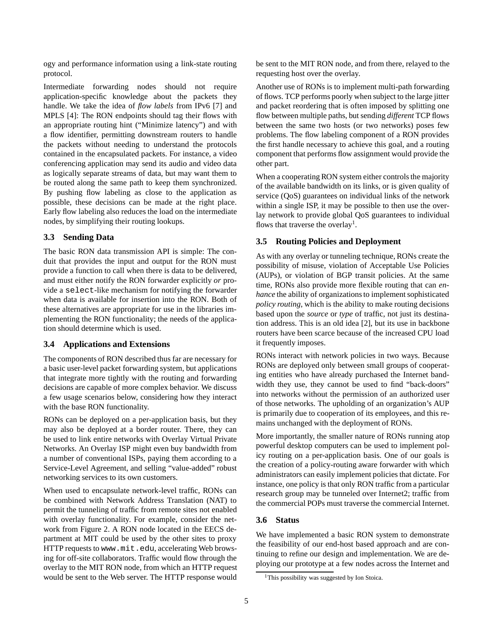ogy and performance information using a link-state routing protocol.

Intermediate forwarding nodes should not require application-specific knowledge about the packets they handle. We take the idea of *flow labels* from IPv6 [7] and MPLS [4]: The RON endpoints should tag their flows with an appropriate routing hint ("Minimize latency") and with a flow identifier, permitting downstream routers to handle the packets without needing to understand the protocols contained in the encapsulated packets. For instance, a video conferencing application may send its audio and video data as logically separate streams of data, but may want them to be routed along the same path to keep them synchronized. By pushing flow labeling as close to the application as possible, these decisions can be made at the right place. Early flow labeling also reduces the load on the intermediate nodes, by simplifying their routing lookups.

#### **3.3 Sending Data**

The basic RON data transmission API is simple: The conduit that provides the input and output for the RON must provide a function to call when there is data to be delivered, and must either notify the RON forwarder explicitly *or* provide a select-like mechanism for notifying the forwarder when data is available for insertion into the RON. Both of these alternatives are appropriate for use in the libraries implementing the RON functionality; the needs of the application should determine which is used.

#### **3.4 Applications and Extensions**

The components of RON described thus far are necessary for a basic user-level packet forwarding system, but applications that integrate more tightly with the routing and forwarding decisions are capable of more complex behavior. We discuss a few usage scenarios below, considering how they interact with the base RON functionality.

RONs can be deployed on a per-application basis, but they may also be deployed at a border router. There, they can be used to link entire networks with Overlay Virtual Private Networks. An Overlay ISP might even buy bandwidth from a number of conventional ISPs, paying them according to a Service-Level Agreement, and selling "value-added" robust networking services to its own customers.

When used to encapsulate network-level traffic, RONs can be combined with Network Address Translation (NAT) to permit the tunneling of traffic from remote sites not enabled with overlay functionality. For example, consider the network from Figure 2. A RON node located in the EECS department at MIT could be used by the other sites to proxy HTTP requests to www.mit.edu, accelerating Web browsing for off-site collaborators. Traffic would flow through the overlay to the MIT RON node, from which an HTTP request would be sent to the Web server. The HTTP response would

be sent to the MIT RON node, and from there, relayed to the requesting host over the overlay.

Another use of RONs is to implement multi-path forwarding of flows. TCP performs poorly when subject to the large jitter and packet reordering that is often imposed by splitting one flow between multiple paths, but sending *different* TCP flows between the same two hosts (or two networks) poses few problems. The flow labeling component of a RON provides the first handle necessary to achieve this goal, and a routing component that performs flow assignment would provide the other part.

When a cooperating RON system either controls the majority of the available bandwidth on its links, or is given quality of service (QoS) guarantees on individual links of the network within a single ISP, it may be possible to then use the overlay network to provide global QoS guarantees to individual flows that traverse the overlay<sup>1</sup>.

#### **3.5 Routing Policies and Deployment**

As with any overlay or tunneling technique, RONs create the possibility of misuse, violation of Acceptable Use Policies (AUPs), or violation of BGP transit policies. At the same time, RONs also provide more flexible routing that can *enhance* the ability of organizations to implement sophisticated *policy routing*, which is the ability to make routing decisions based upon the *source* or *type* of traffic, not just its destination address. This is an old idea [2], but its use in backbone routers have been scarce because of the increased CPU load it frequently imposes.

RONs interact with network policies in two ways. Because RONs are deployed only between small groups of cooperating entities who have already purchased the Internet bandwidth they use, they cannot be used to find "back-doors" into networks without the permission of an authorized user of those networks. The upholding of an organization's AUP is primarily due to cooperation of its employees, and this remains unchanged with the deployment of RONs.

More importantly, the smaller nature of RONs running atop powerful desktop computers can be used to implement policy routing on a per-application basis. One of our goals is the creation of a policy-routing aware forwarder with which administrators can easily implement policies that dictate. For instance, one policy is that only RON traffic from a particular research group may be tunneled over Internet2; traffic from the commercial POPs must traverse the commercial Internet.

#### **3.6 Status**

We have implemented a basic RON system to demonstrate the feasibility of our end-host based approach and are continuing to refine our design and implementation. We are deploying our prototype at a few nodes across the Internet and

<sup>&</sup>lt;sup>1</sup>This possibility was suggested by Ion Stoica.